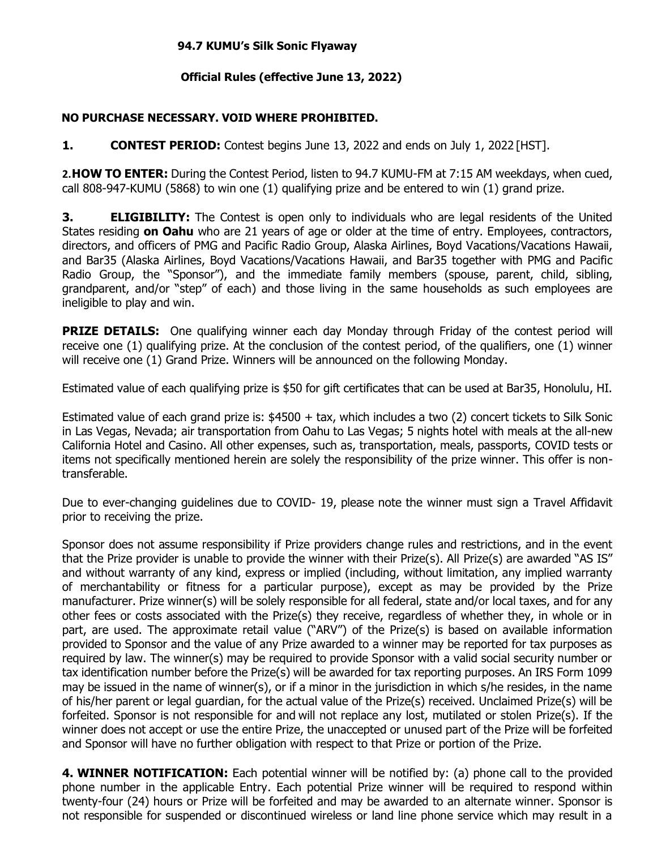## **94.7 KUMU's Silk Sonic Flyaway**

## **Official Rules (effective June 13, 2022)**

## **NO PURCHASE NECESSARY. VOID WHERE PROHIBITED.**

**1. CONTEST PERIOD:** Contest begins June 13, 2022 and ends on July 1, 2022 [HST].

**2.HOW TO ENTER:** During the Contest Period, listen to 94.7 KUMU-FM at 7:15 AM weekdays, when cued, call 808-947-KUMU (5868) to win one (1) qualifying prize and be entered to win (1) grand prize.

**3. ELIGIBILITY:** The Contest is open only to individuals who are legal residents of the United States residing **on Oahu** who are 21 years of age or older at the time of entry. Employees, contractors, directors, and officers of PMG and Pacific Radio Group, Alaska Airlines, Boyd Vacations/Vacations Hawaii, and Bar35 (Alaska Airlines, Boyd Vacations/Vacations Hawaii, and Bar35 together with PMG and Pacific Radio Group, the "Sponsor"), and the immediate family members (spouse, parent, child, sibling, grandparent, and/or "step" of each) and those living in the same households as such employees are ineligible to play and win.

**PRIZE DETAILS:** One qualifying winner each day Monday through Friday of the contest period will receive one (1) qualifying prize. At the conclusion of the contest period, of the qualifiers, one (1) winner will receive one (1) Grand Prize. Winners will be announced on the following Monday.

Estimated value of each qualifying prize is \$50 for gift certificates that can be used at Bar35, Honolulu, HI.

Estimated value of each grand prize is: \$4500 + tax, which includes a two (2) concert tickets to Silk Sonic in Las Vegas, Nevada; air transportation from Oahu to Las Vegas; 5 nights hotel with meals at the all-new California Hotel and Casino. All other expenses, such as, transportation, meals, passports, COVID tests or items not specifically mentioned herein are solely the responsibility of the prize winner. This offer is nontransferable.

Due to ever-changing guidelines due to COVID- 19, please note the winner must sign a Travel Affidavit prior to receiving the prize.

Sponsor does not assume responsibility if Prize providers change rules and restrictions, and in the event that the Prize provider is unable to provide the winner with their Prize(s). All Prize(s) are awarded "AS IS" and without warranty of any kind, express or implied (including, without limitation, any implied warranty of merchantability or fitness for a particular purpose), except as may be provided by the Prize manufacturer. Prize winner(s) will be solely responsible for all federal, state and/or local taxes, and for any other fees or costs associated with the Prize(s) they receive, regardless of whether they, in whole or in part, are used. The approximate retail value ("ARV") of the Prize(s) is based on available information provided to Sponsor and the value of any Prize awarded to a winner may be reported for tax purposes as required by law. The winner(s) may be required to provide Sponsor with a valid social security number or tax identification number before the Prize(s) will be awarded for tax reporting purposes. An IRS Form 1099 may be issued in the name of winner(s), or if a minor in the jurisdiction in which s/he resides, in the name of his/her parent or legal guardian, for the actual value of the Prize(s) received. Unclaimed Prize(s) will be forfeited. Sponsor is not responsible for and will not replace any lost, mutilated or stolen Prize(s). If the winner does not accept or use the entire Prize, the unaccepted or unused part of the Prize will be forfeited and Sponsor will have no further obligation with respect to that Prize or portion of the Prize.

**4. WINNER NOTIFICATION:** Each potential winner will be notified by: (a) phone call to the provided phone number in the applicable Entry. Each potential Prize winner will be required to respond within twenty-four (24) hours or Prize will be forfeited and may be awarded to an alternate winner. Sponsor is not responsible for suspended or discontinued wireless or land line phone service which may result in a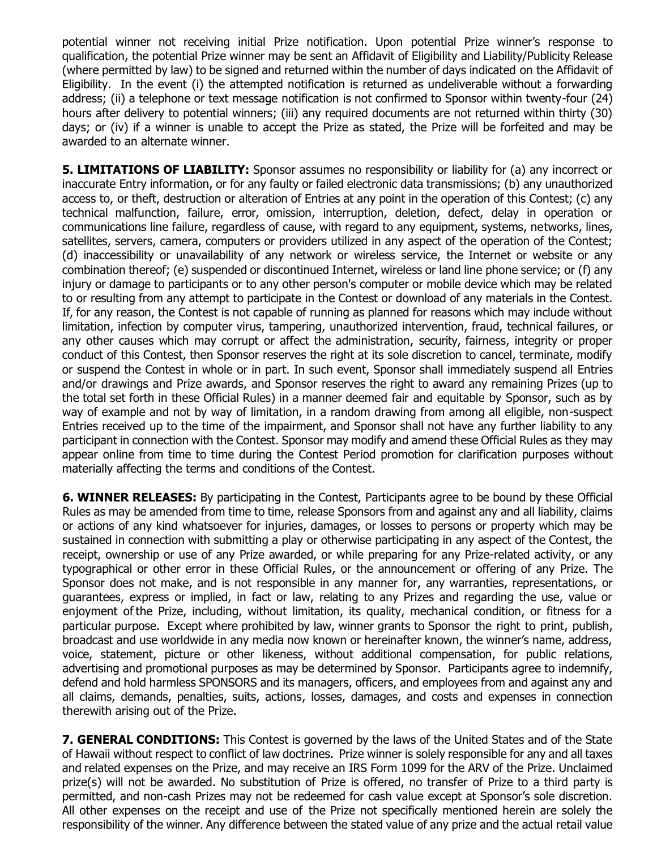potential winner not receiving initial Prize notification. Upon potential Prize winner's response to qualification, the potential Prize winner may be sent an Affidavit of Eligibility and Liability/Publicity Release (where permitted by law) to be signed and returned within the number of days indicated on the Affidavit of Eligibility. In the event (i) the attempted notification is returned as undeliverable without a forwarding address; (ii) a telephone or text message notification is not confirmed to Sponsor within twenty-four (24) hours after delivery to potential winners; (iii) any required documents are not returned within thirty (30) days; or (iv) if a winner is unable to accept the Prize as stated, the Prize will be forfeited and may be awarded to an alternate winner.

**5. LIMITATIONS OF LIABILITY:** Sponsor assumes no responsibility or liability for (a) any incorrect or inaccurate Entry information, or for any faulty or failed electronic data transmissions; (b) any unauthorized access to, or theft, destruction or alteration of Entries at any point in the operation of this Contest; (c) any technical malfunction, failure, error, omission, interruption, deletion, defect, delay in operation or communications line failure, regardless of cause, with regard to any equipment, systems, networks, lines, satellites, servers, camera, computers or providers utilized in any aspect of the operation of the Contest; (d) inaccessibility or unavailability of any network or wireless service, the Internet or website or any combination thereof; (e) suspended or discontinued Internet, wireless or land line phone service; or (f) any injury or damage to participants or to any other person's computer or mobile device which may be related to or resulting from any attempt to participate in the Contest or download of any materials in the Contest. If, for any reason, the Contest is not capable of running as planned for reasons which may include without limitation, infection by computer virus, tampering, unauthorized intervention, fraud, technical failures, or any other causes which may corrupt or affect the administration, security, fairness, integrity or proper conduct of this Contest, then Sponsor reserves the right at its sole discretion to cancel, terminate, modify or suspend the Contest in whole or in part. In such event, Sponsor shall immediately suspend all Entries and/or drawings and Prize awards, and Sponsor reserves the right to award any remaining Prizes (up to the total set forth in these Official Rules) in a manner deemed fair and equitable by Sponsor, such as by way of example and not by way of limitation, in a random drawing from among all eligible, non-suspect Entries received up to the time of the impairment, and Sponsor shall not have any further liability to any participant in connection with the Contest. Sponsor may modify and amend these Official Rules as they may appear online from time to time during the Contest Period promotion for clarification purposes without materially affecting the terms and conditions of the Contest.

**6. WINNER RELEASES:** By participating in the Contest, Participants agree to be bound by these Official Rules as may be amended from time to time, release Sponsors from and against any and all liability, claims or actions of any kind whatsoever for injuries, damages, or losses to persons or property which may be sustained in connection with submitting a play or otherwise participating in any aspect of the Contest, the receipt, ownership or use of any Prize awarded, or while preparing for any Prize-related activity, or any typographical or other error in these Official Rules, or the announcement or offering of any Prize. The Sponsor does not make, and is not responsible in any manner for, any warranties, representations, or guarantees, express or implied, in fact or law, relating to any Prizes and regarding the use, value or enjoyment of the Prize, including, without limitation, its quality, mechanical condition, or fitness for a particular purpose. Except where prohibited by law, winner grants to Sponsor the right to print, publish, broadcast and use worldwide in any media now known or hereinafter known, the winner's name, address, voice, statement, picture or other likeness, without additional compensation, for public relations, advertising and promotional purposes as may be determined by Sponsor. Participants agree to indemnify, defend and hold harmless SPONSORS and its managers, officers, and employees from and against any and all claims, demands, penalties, suits, actions, losses, damages, and costs and expenses in connection therewith arising out of the Prize.

**7. GENERAL CONDITIONS:** This Contest is governed by the laws of the United States and of the State of Hawaii without respect to conflict of law doctrines. Prize winner is solely responsible for any and all taxes and related expenses on the Prize, and may receive an IRS Form 1099 for the ARV of the Prize. Unclaimed prize(s) will not be awarded. No substitution of Prize is offered, no transfer of Prize to a third party is permitted, and non-cash Prizes may not be redeemed for cash value except at Sponsor's sole discretion. All other expenses on the receipt and use of the Prize not specifically mentioned herein are solely the responsibility of the winner. Any difference between the stated value of any prize and the actual retail value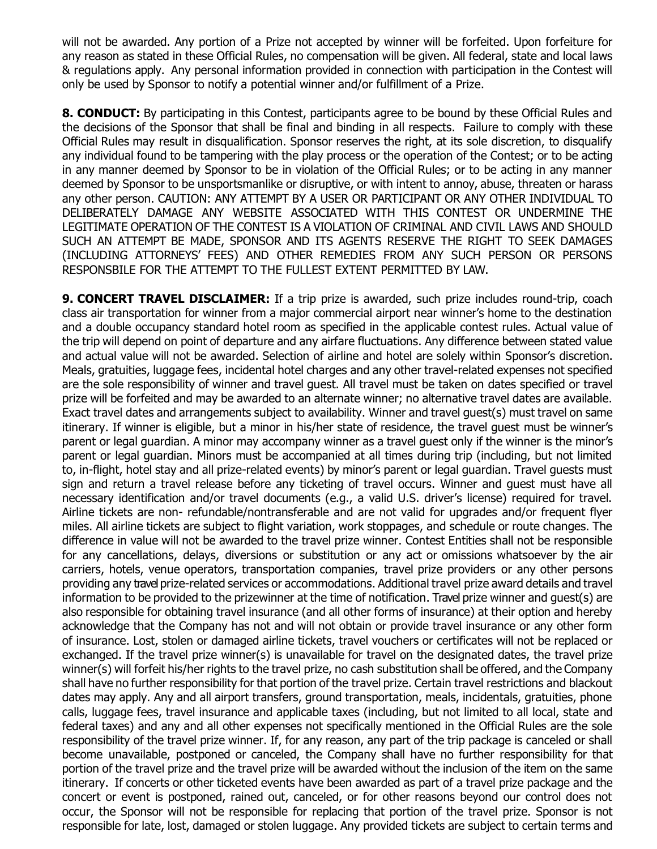will not be awarded. Any portion of a Prize not accepted by winner will be forfeited. Upon forfeiture for any reason as stated in these Official Rules, no compensation will be given. All federal, state and local laws & regulations apply. Any personal information provided in connection with participation in the Contest will only be used by Sponsor to notify a potential winner and/or fulfillment of a Prize.

**8. CONDUCT:** By participating in this Contest, participants agree to be bound by these Official Rules and the decisions of the Sponsor that shall be final and binding in all respects. Failure to comply with these Official Rules may result in disqualification. Sponsor reserves the right, at its sole discretion, to disqualify any individual found to be tampering with the play process or the operation of the Contest; or to be acting in any manner deemed by Sponsor to be in violation of the Official Rules; or to be acting in any manner deemed by Sponsor to be unsportsmanlike or disruptive, or with intent to annoy, abuse, threaten or harass any other person. CAUTION: ANY ATTEMPT BY A USER OR PARTICIPANT OR ANY OTHER INDIVIDUAL TO DELIBERATELY DAMAGE ANY WEBSITE ASSOCIATED WITH THIS CONTEST OR UNDERMINE THE LEGITIMATE OPERATION OF THE CONTEST IS A VIOLATION OF CRIMINAL AND CIVIL LAWS AND SHOULD SUCH AN ATTEMPT BE MADE, SPONSOR AND ITS AGENTS RESERVE THE RIGHT TO SEEK DAMAGES (INCLUDING ATTORNEYS' FEES) AND OTHER REMEDIES FROM ANY SUCH PERSON OR PERSONS RESPONSBILE FOR THE ATTEMPT TO THE FULLEST EXTENT PERMITTED BY LAW.

**9. CONCERT TRAVEL DISCLAIMER:** If a trip prize is awarded, such prize includes round-trip, coach class air transportation for winner from a major commercial airport near winner's home to the destination and a double occupancy standard hotel room as specified in the applicable contest rules. Actual value of the trip will depend on point of departure and any airfare fluctuations. Any difference between stated value and actual value will not be awarded. Selection of airline and hotel are solely within Sponsor's discretion. Meals, gratuities, luggage fees, incidental hotel charges and any other travel-related expenses not specified are the sole responsibility of winner and travel guest. All travel must be taken on dates specified or travel prize will be forfeited and may be awarded to an alternate winner; no alternative travel dates are available. Exact travel dates and arrangements subject to availability. Winner and travel guest(s) must travel on same itinerary. If winner is eligible, but a minor in his/her state of residence, the travel guest must be winner's parent or legal guardian. A minor may accompany winner as a travel guest only if the winner is the minor's parent or legal guardian. Minors must be accompanied at all times during trip (including, but not limited to, in-flight, hotel stay and all prize-related events) by minor's parent or legal guardian. Travel guests must sign and return a travel release before any ticketing of travel occurs. Winner and guest must have all necessary identification and/or travel documents (e.g., a valid U.S. driver's license) required for travel. Airline tickets are non- refundable/nontransferable and are not valid for upgrades and/or frequent flyer miles. All airline tickets are subject to flight variation, work stoppages, and schedule or route changes. The difference in value will not be awarded to the travel prize winner. Contest Entities shall not be responsible for any cancellations, delays, diversions or substitution or any act or omissions whatsoever by the air carriers, hotels, venue operators, transportation companies, travel prize providers or any other persons providing any travel prize-related services or accommodations. Additional travel prize award details and travel information to be provided to the prizewinner at the time of notification. Travel prize winner and guest(s) are also responsible for obtaining travel insurance (and all other forms of insurance) at their option and hereby acknowledge that the Company has not and will not obtain or provide travel insurance or any other form of insurance. Lost, stolen or damaged airline tickets, travel vouchers or certificates will not be replaced or exchanged. If the travel prize winner(s) is unavailable for travel on the designated dates, the travel prize winner(s) will forfeit his/her rights to the travel prize, no cash substitution shall be offered, and the Company shall have no further responsibility for that portion of the travel prize. Certain travel restrictions and blackout dates may apply. Any and all airport transfers, ground transportation, meals, incidentals, gratuities, phone calls, luggage fees, travel insurance and applicable taxes (including, but not limited to all local, state and federal taxes) and any and all other expenses not specifically mentioned in the Official Rules are the sole responsibility of the travel prize winner. If, for any reason, any part of the trip package is canceled or shall become unavailable, postponed or canceled, the Company shall have no further responsibility for that portion of the travel prize and the travel prize will be awarded without the inclusion of the item on the same itinerary. If concerts or other ticketed events have been awarded as part of a travel prize package and the concert or event is postponed, rained out, canceled, or for other reasons beyond our control does not occur, the Sponsor will not be responsible for replacing that portion of the travel prize. Sponsor is not responsible for late, lost, damaged or stolen luggage. Any provided tickets are subject to certain terms and